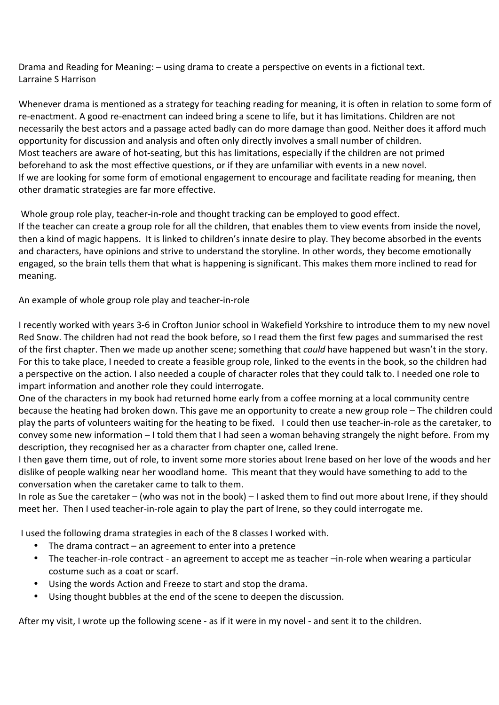Drama and Reading for Meaning: – using drama to create a perspective on events in a fictional text. Larraine S Harrison

Whenever drama is mentioned as a strategy for teaching reading for meaning, it is often in relation to some form of re-enactment. A good re-enactment can indeed bring a scene to life, but it has limitations. Children are not necessarily the best actors and a passage acted badly can do more damage than good. Neither does it afford much opportunity for discussion and analysis and often only directly involves a small number of children. Most teachers are aware of hot-seating, but this has limitations, especially if the children are not primed beforehand to ask the most effective questions, or if they are unfamiliar with events in a new novel. If we are looking for some form of emotional engagement to encourage and facilitate reading for meaning, then other dramatic strategies are far more effective.

Whole group role play, teacher-in-role and thought tracking can be employed to good effect. If the teacher can create a group role for all the children, that enables them to view events from inside the novel, then a kind of magic happens. It is linked to children's innate desire to play. They become absorbed in the events and characters, have opinions and strive to understand the storyline. In other words, they become emotionally engaged, so the brain tells them that what is happening is significant. This makes them more inclined to read for meaning.

An example of whole group role play and teacher-in-role

I recently worked with years 3-6 in Crofton Junior school in Wakefield Yorkshire to introduce them to my new novel Red Snow. The children had not read the book before, so I read them the first few pages and summarised the rest of the first chapter. Then we made up another scene; something that *could* have happened but wasn't in the story. For this to take place, I needed to create a feasible group role, linked to the events in the book, so the children had a perspective on the action. I also needed a couple of character roles that they could talk to. I needed one role to impart information and another role they could interrogate.

One of the characters in my book had returned home early from a coffee morning at a local community centre because the heating had broken down. This gave me an opportunity to create a new group role – The children could play the parts of volunteers waiting for the heating to be fixed. I could then use teacher-in-role as the caretaker, to convey some new information  $-1$  told them that I had seen a woman behaving strangely the night before. From my description, they recognised her as a character from chapter one, called Irene.

I then gave them time, out of role, to invent some more stories about Irene based on her love of the woods and her dislike of people walking near her woodland home. This meant that they would have something to add to the conversation when the caretaker came to talk to them.

In role as Sue the caretaker – (who was not in the book) – I asked them to find out more about Irene, if they should meet her. Then I used teacher-in-role again to play the part of Irene, so they could interrogate me.

I used the following drama strategies in each of the 8 classes I worked with.

- The drama contract  $-$  an agreement to enter into a pretence
- The teacher-in-role contract an agreement to accept me as teacher -in-role when wearing a particular costume such as a coat or scarf.
- Using the words Action and Freeze to start and stop the drama.
- Using thought bubbles at the end of the scene to deepen the discussion.

After my visit, I wrote up the following scene - as if it were in my novel - and sent it to the children.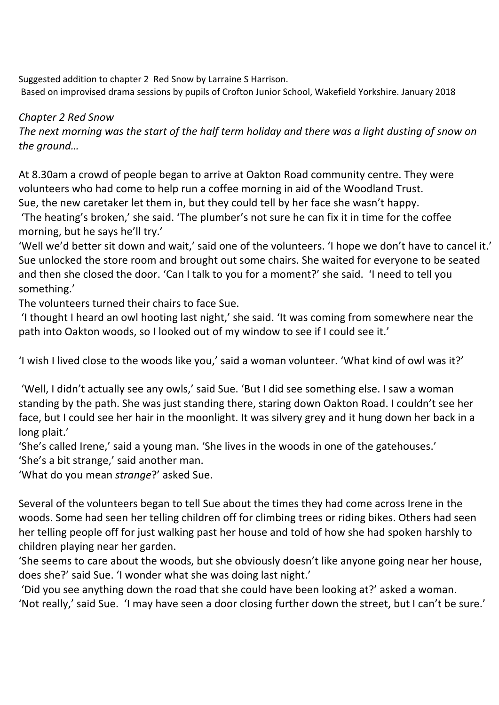Suggested addition to chapter 2 Red Snow by Larraine S Harrison. Based on improvised drama sessions by pupils of Crofton Junior School, Wakefield Yorkshire. January 2018

## *Chapter 2 Red Snow*

The next morning was the start of the half term holiday and there was a light dusting of snow on the around...

At 8.30am a crowd of people began to arrive at Oakton Road community centre. They were volunteers who had come to help run a coffee morning in aid of the Woodland Trust. Sue, the new caretaker let them in, but they could tell by her face she wasn't happy.

'The heating's broken,' she said. 'The plumber's not sure he can fix it in time for the coffee morning, but he says he'll try.'

'Well we'd better sit down and wait,' said one of the volunteers. 'I hope we don't have to cancel it.' Sue unlocked the store room and brought out some chairs. She waited for everyone to be seated and then she closed the door. 'Can I talk to you for a moment?' she said. 'I need to tell you something.' 

The volunteers turned their chairs to face Sue.

'I thought I heard an owl hooting last night,' she said. 'It was coming from somewhere near the path into Oakton woods, so I looked out of my window to see if I could see it.'

'I wish I lived close to the woods like you,' said a woman volunteer. 'What kind of owl was it?'

'Well, I didn't actually see any owls,' said Sue. 'But I did see something else. I saw a woman standing by the path. She was just standing there, staring down Oakton Road. I couldn't see her face, but I could see her hair in the moonlight. It was silvery grey and it hung down her back in a long plait.'

'She's called Irene,' said a young man. 'She lives in the woods in one of the gatehouses.'

'She's a bit strange,' said another man.

'What do you mean *strange*?' asked Sue.

Several of the volunteers began to tell Sue about the times they had come across Irene in the woods. Some had seen her telling children off for climbing trees or riding bikes. Others had seen her telling people off for just walking past her house and told of how she had spoken harshly to children playing near her garden.

'She seems to care about the woods, but she obviously doesn't like anyone going near her house, does she?' said Sue. 'I wonder what she was doing last night.'

'Did you see anything down the road that she could have been looking at?' asked a woman. 'Not really,' said Sue. 'I may have seen a door closing further down the street, but I can't be sure.'